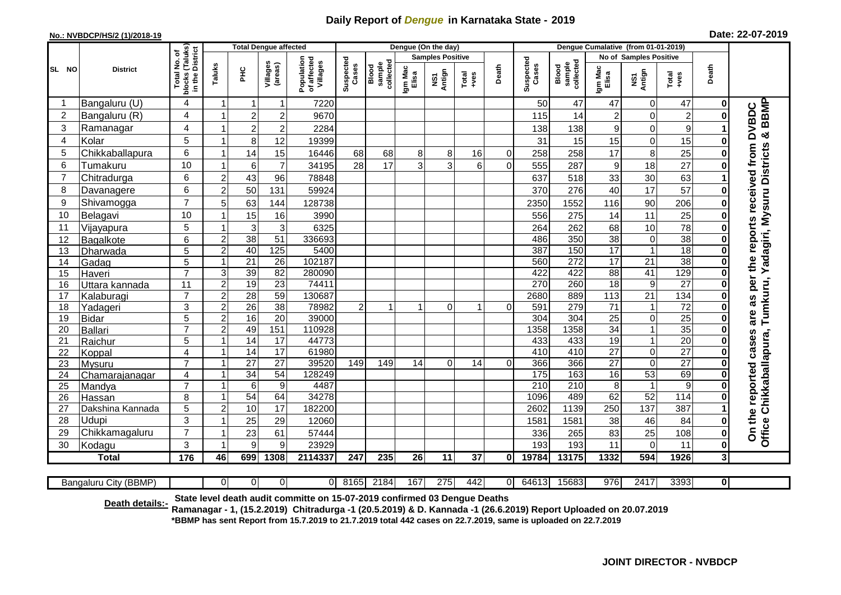## **Daily Report of** *Dengue* **in Karnataka State - 2019**

## **No.: NVBDCP/HS/2 (1)/2018-19**

| Date: 22-07-2019 |  |  |  |
|------------------|--|--|--|
|------------------|--|--|--|

|                |                    |                                                 |                                  | <b>Total Dengue affected</b> |                     |                                       | Dengue (On the day) |                              |                      |                         |                 |           |                    |                              |                       |                               |                 |                |                                                      |
|----------------|--------------------|-------------------------------------------------|----------------------------------|------------------------------|---------------------|---------------------------------------|---------------------|------------------------------|----------------------|-------------------------|-----------------|-----------|--------------------|------------------------------|-----------------------|-------------------------------|-----------------|----------------|------------------------------------------------------|
|                |                    | ৳                                               |                                  |                              |                     |                                       |                     |                              |                      | <b>Samples Positive</b> |                 |           |                    |                              |                       | No of Samples Positive        |                 |                |                                                      |
| SL NO          | <b>District</b>    | blocks (Taluks)<br>in the District<br>Total No. | Taluks                           | 운<br>도                       | Villages<br>(areas) | Population<br>of affected<br>Villages | Suspected<br>Cases  | sample<br>collected<br>Blood | Igm Mac<br>Elisa     | NS1<br>Antign           | Total<br>+ves   | Death     | Suspected<br>Cases | collected<br>sample<br>Blood | Igm Mac<br>Elisa      | NS1<br>Antign                 | Total<br>+ves   | Death          |                                                      |
| -1             | Bangaluru (U)      | 4                                               | $\overline{1}$                   | $\mathbf{1}$                 | $\mathbf{1}$        | 7220                                  |                     |                              |                      |                         |                 |           | 50                 | 47                           | 47                    | $\mathbf 0$                   | 47              | 0              |                                                      |
| $\overline{c}$ | Bangaluru (R)      | 4                                               |                                  | $\overline{2}$               | $\overline{c}$      | 9670                                  |                     |                              |                      |                         |                 |           | 115                | 14                           | $\overline{c}$        | $\mathbf 0$                   | $\overline{2}$  |                | & BBMP<br>are as per the reports received from DVBDC |
| 3              | Ramanagar          | 4                                               |                                  | $\overline{c}$               | $\overline{c}$      | 2284                                  |                     |                              |                      |                         |                 |           | 138                | 138                          | 9                     | $\mathbf 0$                   | $9\,$           |                |                                                      |
| $\overline{4}$ | Kolar              | 5                                               |                                  | 8                            | $\overline{12}$     | 19399                                 |                     |                              |                      |                         |                 |           | 31                 | 15                           | 15                    | $\mathbf 0$                   | 15              |                |                                                      |
| 5              | Chikkaballapura    | 6                                               | -1                               | 14                           | 15                  | 16446                                 | 68                  | 68                           | 8                    | 8                       | 16              | $\pmb{0}$ | 258                | 258                          | 17                    | 8                             | 25              | O              | Tumkuru, Yadagiri, Mysuru Districts                  |
| 6              | Tumakuru           | 10                                              | $\overline{1}$                   | $6\phantom{1}$               | $\overline{7}$      | 34195                                 | 28                  | 17                           | 3                    | 3                       | 6               | 0         | 555                | 287                          | 9                     | 18                            | $\overline{27}$ |                |                                                      |
| 7              | Chitradurga        | 6                                               | $\overline{2}$                   | 43                           | 96                  | 78848                                 |                     |                              |                      |                         |                 |           | 637                | 518                          | 33                    | 30                            | 63              |                |                                                      |
| 8              | Davanagere         | 6                                               | $\overline{2}$                   | 50                           | 131                 | 59924                                 |                     |                              |                      |                         |                 |           | 370                | 276                          | 40                    | 17                            | $\overline{57}$ |                |                                                      |
| 9              | Shivamogga         | $\overline{7}$                                  | 5                                | 63                           | 144                 | 128738                                |                     |                              |                      |                         |                 |           | 2350               | 1552                         | 116                   | 90                            | 206             |                |                                                      |
| 10             | Belagavi           | 10                                              |                                  | 15                           | 16                  | 3990                                  |                     |                              |                      |                         |                 |           | 556                | 275                          | 14                    | 11                            | 25              |                |                                                      |
| 11             | Vijayapura         | 5                                               |                                  | 3                            | 3                   | 6325                                  |                     |                              |                      |                         |                 |           | 264                | 262                          | 68                    | 10                            | 78              |                |                                                      |
| 12             | Bagalkote          | 6                                               | $\overline{2}$                   | 38                           | $\overline{51}$     | 336693                                |                     |                              |                      |                         |                 |           | 486                | 350                          | 38                    | $\mathbf 0$                   | 38              |                |                                                      |
| 13             | Dharwada           | $\overline{5}$                                  | $\overline{2}$                   | 40                           | 125                 | 5400                                  |                     |                              |                      |                         |                 |           | 387                | 150                          | 17                    | $\overline{1}$                | 18              |                |                                                      |
| 14             | Gadag              | $\overline{5}$                                  | -1                               | $\overline{21}$              | $\overline{26}$     | 102187                                |                     |                              |                      |                         |                 |           | 560                | $\overline{272}$             | 17                    | $\overline{21}$               | 38              |                |                                                      |
| 15             | Haveri             | $\overline{7}$                                  | 3                                | 39                           | $\overline{82}$     | 280090                                |                     |                              |                      |                         |                 |           | 422                | 422                          | 88                    | 41                            | 129             | $\Omega$       |                                                      |
| 16             | Uttara kannada     | 11                                              | $\overline{2}$                   | 19                           | 23                  | 74411                                 |                     |                              |                      |                         |                 |           | 270                | 260                          | 18                    | $\boldsymbol{9}$              | $\overline{27}$ | $\bf{0}$       |                                                      |
| 17             | Kalaburagi         | $\overline{7}$                                  | $\overline{c}$                   | 28                           | 59                  | 130687                                |                     |                              |                      |                         |                 |           | 2680               | 889                          | 113                   | $\overline{21}$               | 134             | $\bf{0}$       |                                                      |
| 18             | Yadageri           | 3                                               | $\overline{2}$                   | 26                           | $\overline{38}$     | 78982                                 | $\overline{2}$      | $\mathbf 1$                  | $\blacktriangleleft$ | $\mathbf 0$             | $\mathbf{1}$    | $\Omega$  | 591                | 279                          | $\overline{71}$       | $\mathbf{1}$                  | $\overline{72}$ | $\bf{0}$       |                                                      |
| 19<br>20       | Bidar              | $\overline{5}$<br>$\overline{7}$                | $\overline{2}$<br>$\overline{2}$ | 16<br>49                     | 20<br>151           | 39000<br>110928                       |                     |                              |                      |                         |                 |           | 304<br>1358        | 304<br>1358                  | $\overline{25}$<br>34 | $\mathsf 0$<br>$\overline{1}$ | 25<br>35        | 0              |                                                      |
| 21             | Ballari<br>Raichur | 5                                               | -1                               | 14                           | $\overline{17}$     | 44773                                 |                     |                              |                      |                         |                 |           | 433                | 433                          | 19                    | 1                             | $\overline{20}$ |                |                                                      |
| 22             | Koppal             | $\overline{4}$                                  | $\overline{1}$                   | 14                           | $\overline{17}$     | 61980                                 |                     |                              |                      |                         |                 |           | 410                | 410                          | $\overline{27}$       | $\mathbf 0$                   | $\overline{27}$ | $\Omega$       |                                                      |
| 23             | Mysuru             | $\overline{7}$                                  | -1                               | 27                           | $\overline{27}$     | 39520                                 | 149                 | 149                          | 14                   | $\Omega$                | 14              | $\Omega$  | 366                | 366                          | $\overline{27}$       | $\mathbf 0$                   | $\overline{27}$ | O              |                                                      |
| 24             | Chamarajanagar     | $\overline{4}$                                  | $\overline{1}$                   | $\overline{34}$              | $\overline{54}$     | 128249                                |                     |                              |                      |                         |                 |           | $\frac{175}{175}$  | 163                          | 16                    | 53                            | 69              |                |                                                      |
| 25             | Mandya             | $\overline{7}$                                  | $\overline{1}$                   | 6                            | $\boldsymbol{9}$    | 4487                                  |                     |                              |                      |                         |                 |           | $\overline{210}$   | $\overline{210}$             | 8                     | $\overline{1}$                | 9               |                |                                                      |
| 26             | Hassan             | 8                                               | 1                                | 54                           | 64                  | 34278                                 |                     |                              |                      |                         |                 |           | 1096               | 489                          | 62                    | $\overline{52}$               | 114             |                |                                                      |
| 27             | Dakshina Kannada   | 5                                               | 2                                | $10$                         | 17                  | 182200                                |                     |                              |                      |                         |                 |           | 2602               | 1139                         | 250                   | 137                           | 387             |                |                                                      |
| 28             | Udupi              | 3                                               |                                  | 25                           | 29                  | 12060                                 |                     |                              |                      |                         |                 |           | 1581               | 1581                         | 38                    | 46                            | 84              | O              | Office Chikkaballapura,<br>On the reported cases     |
| 29             | Chikkamagaluru     | $\overline{7}$                                  | -1                               | 23                           | 61                  | 57444                                 |                     |                              |                      |                         |                 |           | 336                | 265                          | 83                    | 25                            | 108             | $\bf{0}$       |                                                      |
| 30             | Kodagu             | 3                                               | $\overline{\phantom{a}}$         | 9                            | 9                   | 23929                                 |                     |                              |                      |                         |                 |           | 193                | 193                          | 11                    | $\mathbf 0$                   | 11              | 0              |                                                      |
|                | <b>Total</b>       | 176                                             | 46                               | 699                          | 1308                | 2114337                               | 247                 | 235                          | 26                   | $\overline{11}$         | $\overline{37}$ | 0         | 19784              | 13175                        | 1332                  | 594                           | 1926            | $\overline{3}$ |                                                      |
|                |                    |                                                 |                                  |                              |                     |                                       |                     |                              |                      |                         |                 |           |                    |                              |                       |                               |                 |                |                                                      |

| Bangaluru City (BBMP) |
|-----------------------|
|-----------------------|

0 0 0 0 8165 2184 167 275 442 0 64613 15683 976 2417 3393 **0**

**State level death audit committe on 15-07-2019 confirmed 03 Dengue Deaths** 

**Death details:- Ramanagar - 1, (15.2.2019) Chitradurga -1 (20.5.2019) & D. Kannada -1 (26.6.2019) Report Uploaded on 20.07.2019 \*BBMP has sent Report from 15.7.2019 to 21.7.2019 total 442 cases on 22.7.2019, same is uploaded on 22.7.2019**